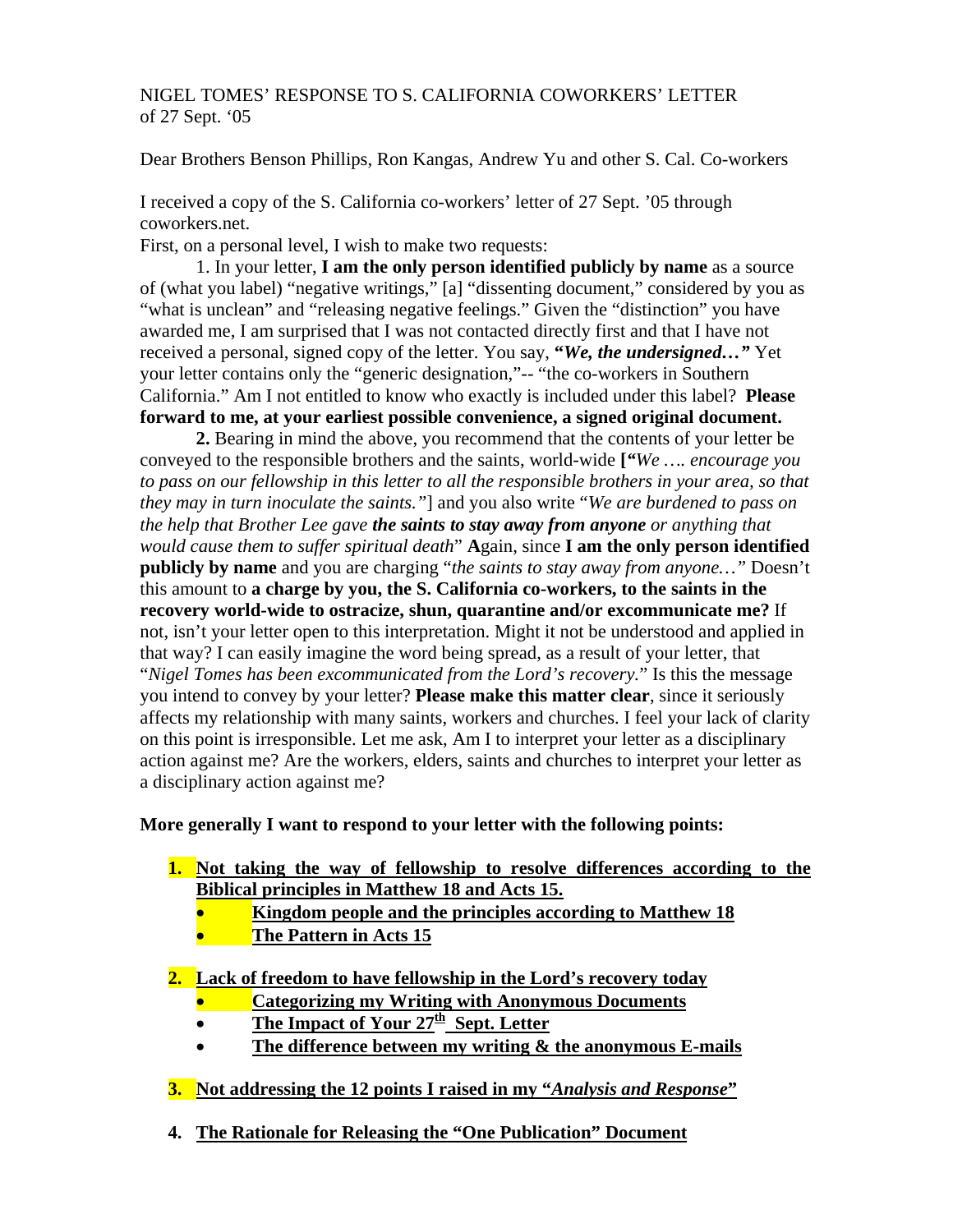# NIGEL TOMES' RESPONSE TO S. CALIFORNIA COWORKERS' LETTER of 27 Sept. '05

Dear Brothers Benson Phillips, Ron Kangas, Andrew Yu and other S. Cal. Co-workers

I received a copy of the S. California co-workers' letter of 27 Sept. '05 through coworkers.net.

First, on a personal level, I wish to make two requests:

 1. In your letter, **I am the only person identified publicly by name** as a source of (what you label) "negative writings," [a] "dissenting document," considered by you as "what is unclean" and "releasing negative feelings." Given the "distinction" you have awarded me, I am surprised that I was not contacted directly first and that I have not received a personal, signed copy of the letter. You say, **"***We, the undersigned…"* Yet your letter contains only the "generic designation,"-- "the co-workers in Southern California." Am I not entitled to know who exactly is included under this label? **Please forward to me, at your earliest possible convenience, a signed original document.** 

 **2.** Bearing in mind the above, you recommend that the contents of your letter be conveyed to the responsible brothers and the saints, world-wide **[***"We …. encourage you to pass on our fellowship in this letter to all the responsible brothers in your area, so that they may in turn inoculate the saints."*] and you also write "*We are burdened to pass on the help that Brother Lee gave the saints to stay away from anyone or anything that would cause them to suffer spiritual death*" **A**gain, since **I am the only person identified publicly by name** and you are charging "*the saints to stay away from anyone…"* Doesn't this amount to **a charge by you, the S. California co-workers, to the saints in the recovery world-wide to ostracize, shun, quarantine and/or excommunicate me?** If not, isn't your letter open to this interpretation. Might it not be understood and applied in that way? I can easily imagine the word being spread, as a result of your letter, that "*Nigel Tomes has been excommunicated from the Lord's recovery.*" Is this the message you intend to convey by your letter? **Please make this matter clear**, since it seriously affects my relationship with many saints, workers and churches. I feel your lack of clarity on this point is irresponsible. Let me ask, Am I to interpret your letter as a disciplinary action against me? Are the workers, elders, saints and churches to interpret your letter as a disciplinary action against me?

# **More generally I want to respond to your letter with the following points:**

- **1. Not taking the way of fellowship to resolve differences according to the Biblical principles in Matthew 18 and Acts 15.**
	- **Kingdom people and the principles according to Matthew 18**
	- **The Pattern in Acts 15**
- **2. Lack of freedom to have fellowship in the Lord's recovery today**
	- **Categorizing my Writing with Anonymous Documents**
	- The Impact of Your 27<sup>th</sup> Sept. Letter
	- **The difference between my writing & the anonymous E-mails**
- **3. Not addressing the 12 points I raised in my "***Analysis and Response***"**
- **4. The Rationale for Releasing the "One Publication" Document**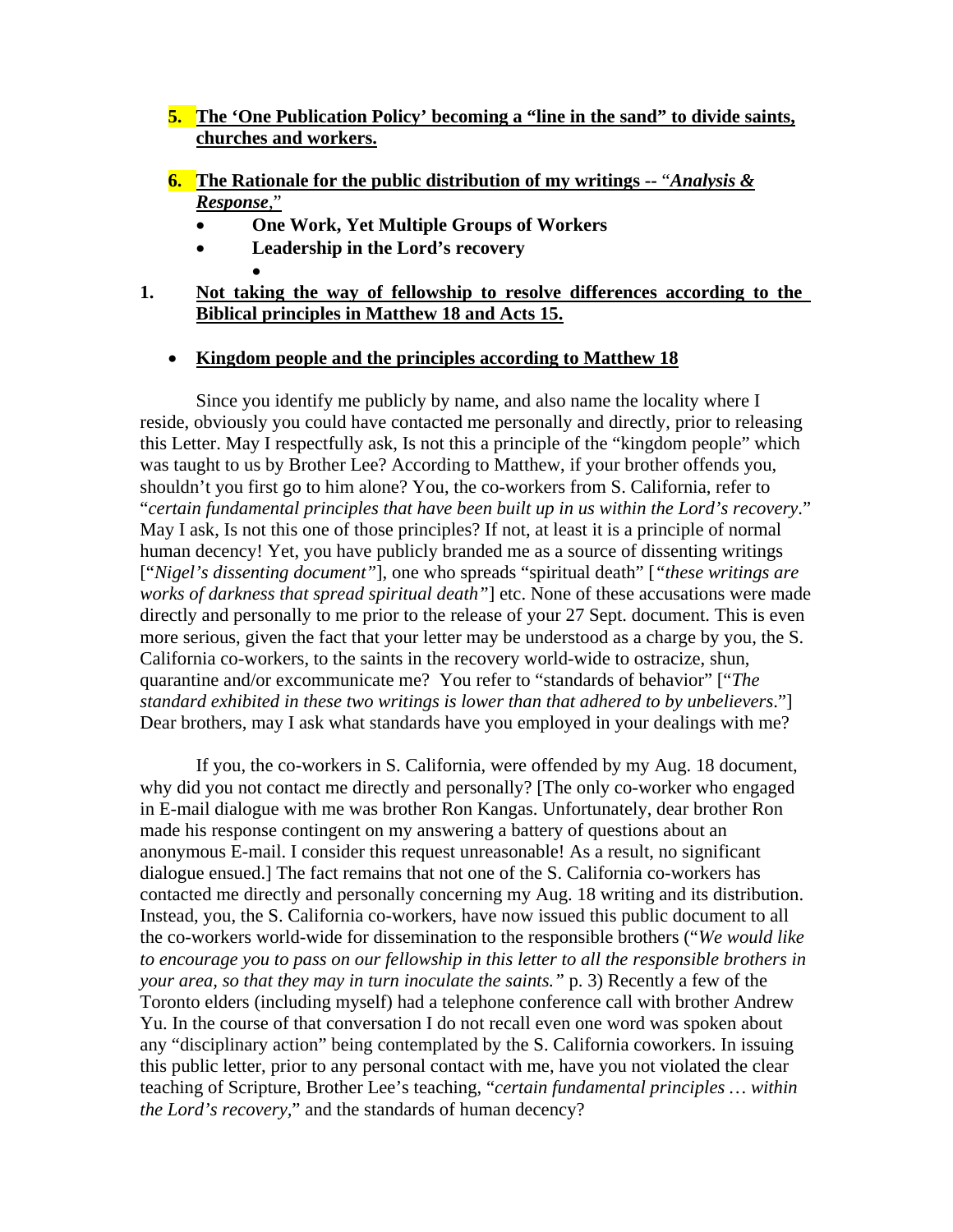- **5. The 'One Publication Policy' becoming a "line in the sand" to divide saints, churches and workers.**
- **6. The Rationale for the public distribution of my writings --** "*Analysis & Response*,"
	- **One Work, Yet Multiple Groups of Workers**
	- **Leadership in the Lord's recovery**
- **1. Not taking the way of fellowship to resolve differences according to the Biblical principles in Matthew 18 and Acts 15.**
	- **Kingdom people and the principles according to Matthew 18**

 Since you identify me publicly by name, and also name the locality where I reside, obviously you could have contacted me personally and directly, prior to releasing this Letter. May I respectfully ask, Is not this a principle of the "kingdom people" which was taught to us by Brother Lee? According to Matthew, if your brother offends you, shouldn't you first go to him alone? You, the co-workers from S. California, refer to "*certain fundamental principles that have been built up in us within the Lord's recovery*." May I ask, Is not this one of those principles? If not, at least it is a principle of normal human decency! Yet, you have publicly branded me as a source of dissenting writings ["*Nigel's dissenting document"*], one who spreads "spiritual death" [*"these writings are works of darkness that spread spiritual death"*] etc. None of these accusations were made directly and personally to me prior to the release of your 27 Sept. document. This is even more serious, given the fact that your letter may be understood as a charge by you, the S. California co-workers, to the saints in the recovery world-wide to ostracize, shun, quarantine and/or excommunicate me? You refer to "standards of behavior" ["*The standard exhibited in these two writings is lower than that adhered to by unbelievers*."] Dear brothers, may I ask what standards have you employed in your dealings with me?

 If you, the co-workers in S. California, were offended by my Aug. 18 document, why did you not contact me directly and personally? [The only co-worker who engaged in E-mail dialogue with me was brother Ron Kangas. Unfortunately, dear brother Ron made his response contingent on my answering a battery of questions about an anonymous E-mail. I consider this request unreasonable! As a result, no significant dialogue ensued.] The fact remains that not one of the S. California co-workers has contacted me directly and personally concerning my Aug. 18 writing and its distribution. Instead, you, the S. California co-workers, have now issued this public document to all the co-workers world-wide for dissemination to the responsible brothers ("*We would like to encourage you to pass on our fellowship in this letter to all the responsible brothers in your area, so that they may in turn inoculate the saints."* p. 3) Recently a few of the Toronto elders (including myself) had a telephone conference call with brother Andrew Yu. In the course of that conversation I do not recall even one word was spoken about any "disciplinary action" being contemplated by the S. California coworkers. In issuing this public letter, prior to any personal contact with me, have you not violated the clear teaching of Scripture, Brother Lee's teaching, "*certain fundamental principles … within the Lord's recovery,*" and the standards of human decency?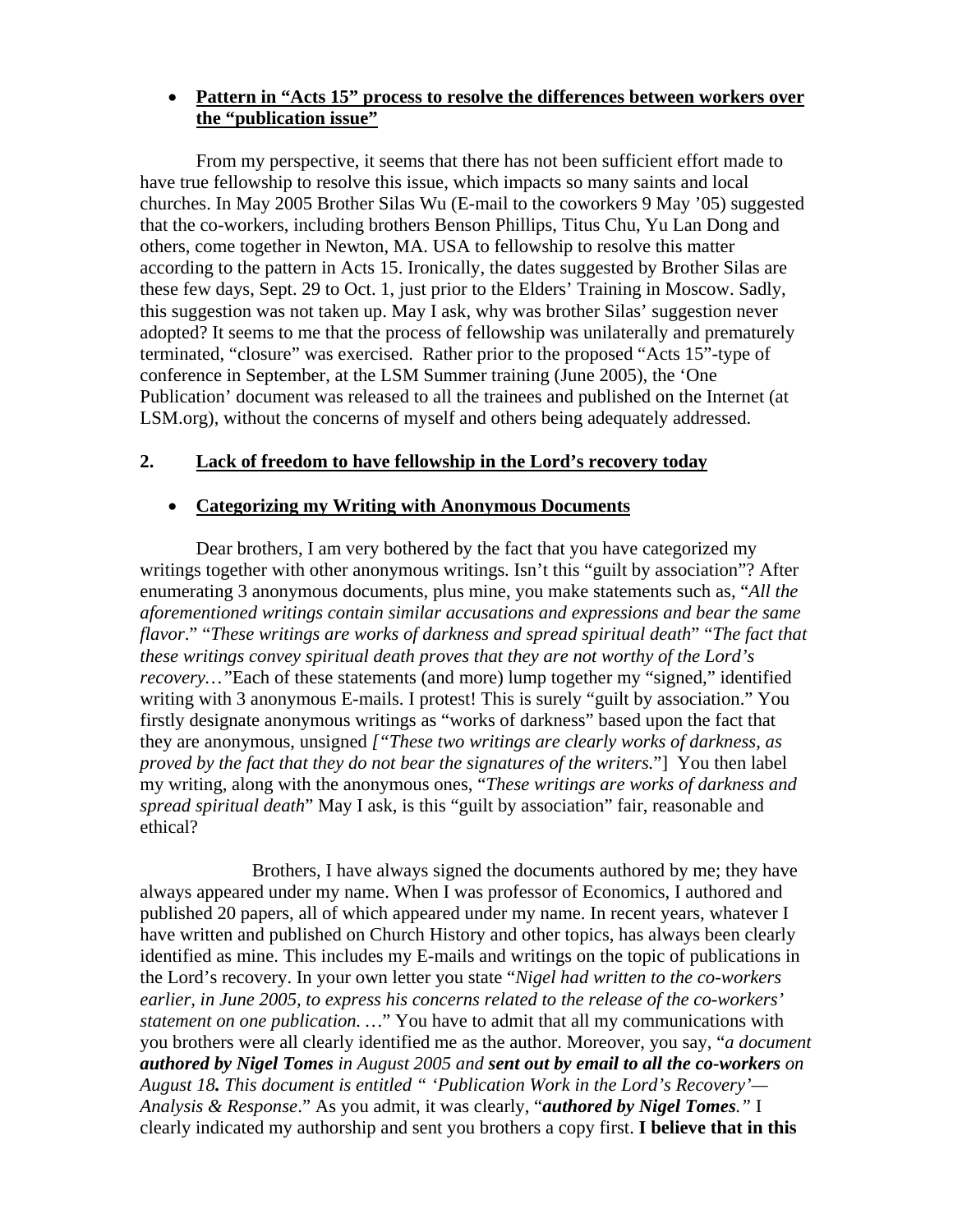### • **Pattern in "Acts 15" process to resolve the differences between workers over the "publication issue"**

From my perspective, it seems that there has not been sufficient effort made to have true fellowship to resolve this issue, which impacts so many saints and local churches. In May 2005 Brother Silas Wu (E-mail to the coworkers 9 May '05) suggested that the co-workers, including brothers Benson Phillips, Titus Chu, Yu Lan Dong and others, come together in Newton, MA. USA to fellowship to resolve this matter according to the pattern in Acts 15. Ironically, the dates suggested by Brother Silas are these few days, Sept. 29 to Oct. 1, just prior to the Elders' Training in Moscow. Sadly, this suggestion was not taken up. May I ask, why was brother Silas' suggestion never adopted? It seems to me that the process of fellowship was unilaterally and prematurely terminated, "closure" was exercised. Rather prior to the proposed "Acts 15"-type of conference in September, at the LSM Summer training (June 2005), the 'One Publication' document was released to all the trainees and published on the Internet (at LSM.org), without the concerns of myself and others being adequately addressed.

## **2. Lack of freedom to have fellowship in the Lord's recovery today**

#### • **Categorizing my Writing with Anonymous Documents**

Dear brothers, I am very bothered by the fact that you have categorized my writings together with other anonymous writings. Isn't this "guilt by association"? After enumerating 3 anonymous documents, plus mine, you make statements such as, "*All the aforementioned writings contain similar accusations and expressions and bear the same flavor*." "*These writings are works of darkness and spread spiritual death*" "*The fact that these writings convey spiritual death proves that they are not worthy of the Lord's recovery…"*Each of these statements (and more) lump together my "signed," identified writing with 3 anonymous E-mails. I protest! This is surely "guilt by association." You firstly designate anonymous writings as "works of darkness" based upon the fact that they are anonymous, unsigned *["These two writings are clearly works of darkness, as proved by the fact that they do not bear the signatures of the writers.*"] You then label my writing, along with the anonymous ones, "*These writings are works of darkness and spread spiritual death*" May I ask, is this "guilt by association" fair, reasonable and ethical?

 Brothers, I have always signed the documents authored by me; they have always appeared under my name. When I was professor of Economics, I authored and published 20 papers, all of which appeared under my name. In recent years, whatever I have written and published on Church History and other topics, has always been clearly identified as mine. This includes my E-mails and writings on the topic of publications in the Lord's recovery. In your own letter you state "*Nigel had written to the co-workers earlier, in June 2005, to express his concerns related to the release of the co-workers' statement on one publication. …*" You have to admit that all my communications with you brothers were all clearly identified me as the author. Moreover, you say, "*a document authored by Nigel Tomes in August 2005 and sent out by email to all the co-workers on August 18. This document is entitled " 'Publication Work in the Lord's Recovery'— Analysis & Response*." As you admit, it was clearly, "*authored by Nigel Tomes."* I clearly indicated my authorship and sent you brothers a copy first. **I believe that in this**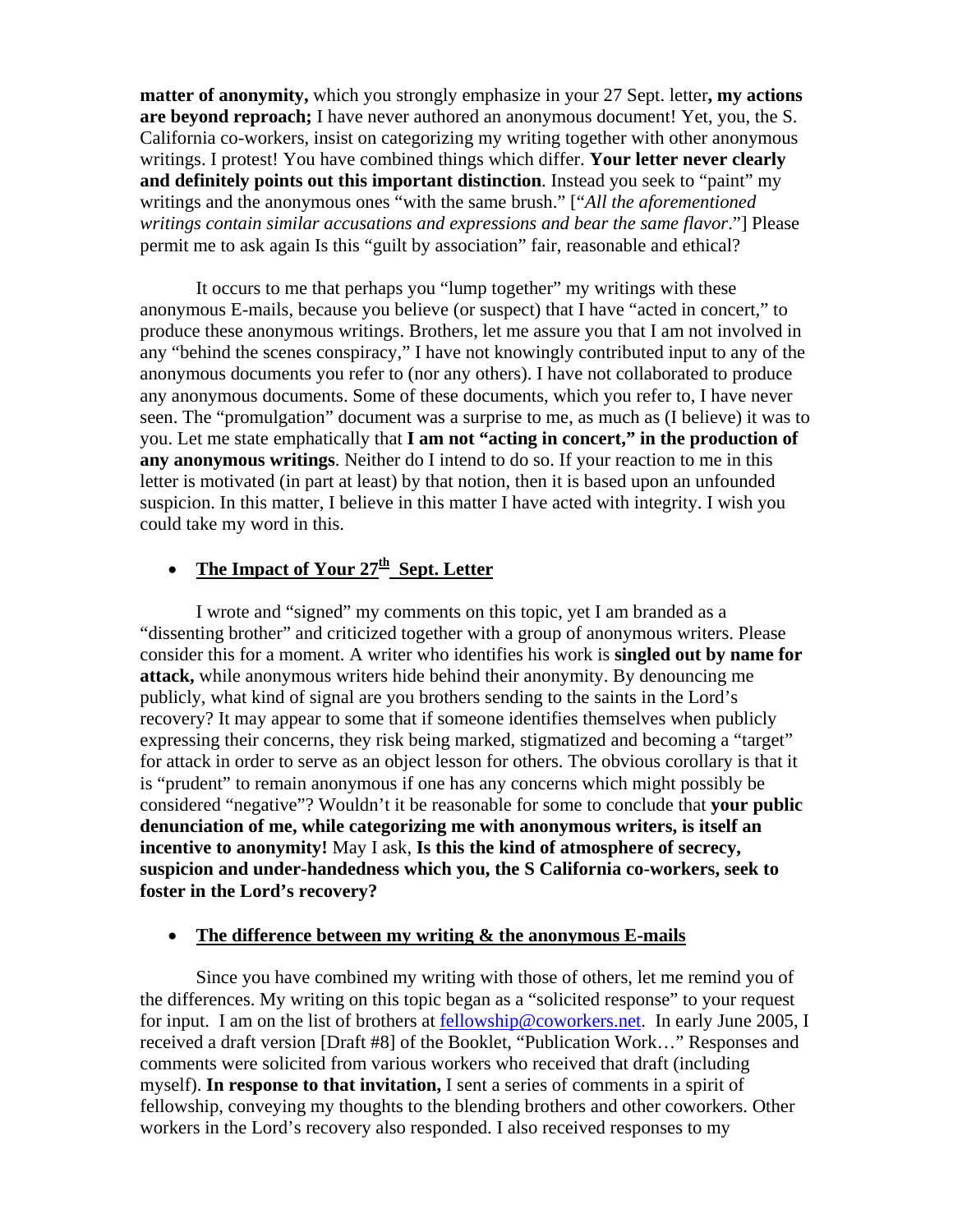**matter of anonymity,** which you strongly emphasize in your 27 Sept. letter**, my actions are beyond reproach;** I have never authored an anonymous document! Yet, you, the S. California co-workers, insist on categorizing my writing together with other anonymous writings. I protest! You have combined things which differ. **Your letter never clearly and definitely points out this important distinction**. Instead you seek to "paint" my writings and the anonymous ones "with the same brush." ["*All the aforementioned writings contain similar accusations and expressions and bear the same flavor*."] Please permit me to ask again Is this "guilt by association" fair, reasonable and ethical?

 It occurs to me that perhaps you "lump together" my writings with these anonymous E-mails, because you believe (or suspect) that I have "acted in concert," to produce these anonymous writings. Brothers, let me assure you that I am not involved in any "behind the scenes conspiracy," I have not knowingly contributed input to any of the anonymous documents you refer to (nor any others). I have not collaborated to produce any anonymous documents. Some of these documents, which you refer to, I have never seen. The "promulgation" document was a surprise to me, as much as (I believe) it was to you. Let me state emphatically that **I am not "acting in concert," in the production of any anonymous writings**. Neither do I intend to do so. If your reaction to me in this letter is motivated (in part at least) by that notion, then it is based upon an unfounded suspicion. In this matter, I believe in this matter I have acted with integrity. I wish you could take my word in this.

# • The Impact of Your  $27<sup>th</sup>$  Sept. Letter

I wrote and "signed" my comments on this topic, yet I am branded as a "dissenting brother" and criticized together with a group of anonymous writers. Please consider this for a moment. A writer who identifies his work is **singled out by name for attack,** while anonymous writers hide behind their anonymity. By denouncing me publicly, what kind of signal are you brothers sending to the saints in the Lord's recovery? It may appear to some that if someone identifies themselves when publicly expressing their concerns, they risk being marked, stigmatized and becoming a "target" for attack in order to serve as an object lesson for others. The obvious corollary is that it is "prudent" to remain anonymous if one has any concerns which might possibly be considered "negative"? Wouldn't it be reasonable for some to conclude that **your public denunciation of me, while categorizing me with anonymous writers, is itself an incentive to anonymity!** May I ask, **Is this the kind of atmosphere of secrecy, suspicion and under-handedness which you, the S California co-workers, seek to foster in the Lord's recovery?** 

### • **The difference between my writing & the anonymous E-mails**

 Since you have combined my writing with those of others, let me remind you of the differences. My writing on this topic began as a "solicited response" to your request for input. I am on the list of brothers at [fellowship@coworkers.net](mailto:feelowship@coworkers.net). In early June 2005, I received a draft version [Draft #8] of the Booklet, "Publication Work…" Responses and comments were solicited from various workers who received that draft (including myself). **In response to that invitation,** I sent a series of comments in a spirit of fellowship, conveying my thoughts to the blending brothers and other coworkers. Other workers in the Lord's recovery also responded. I also received responses to my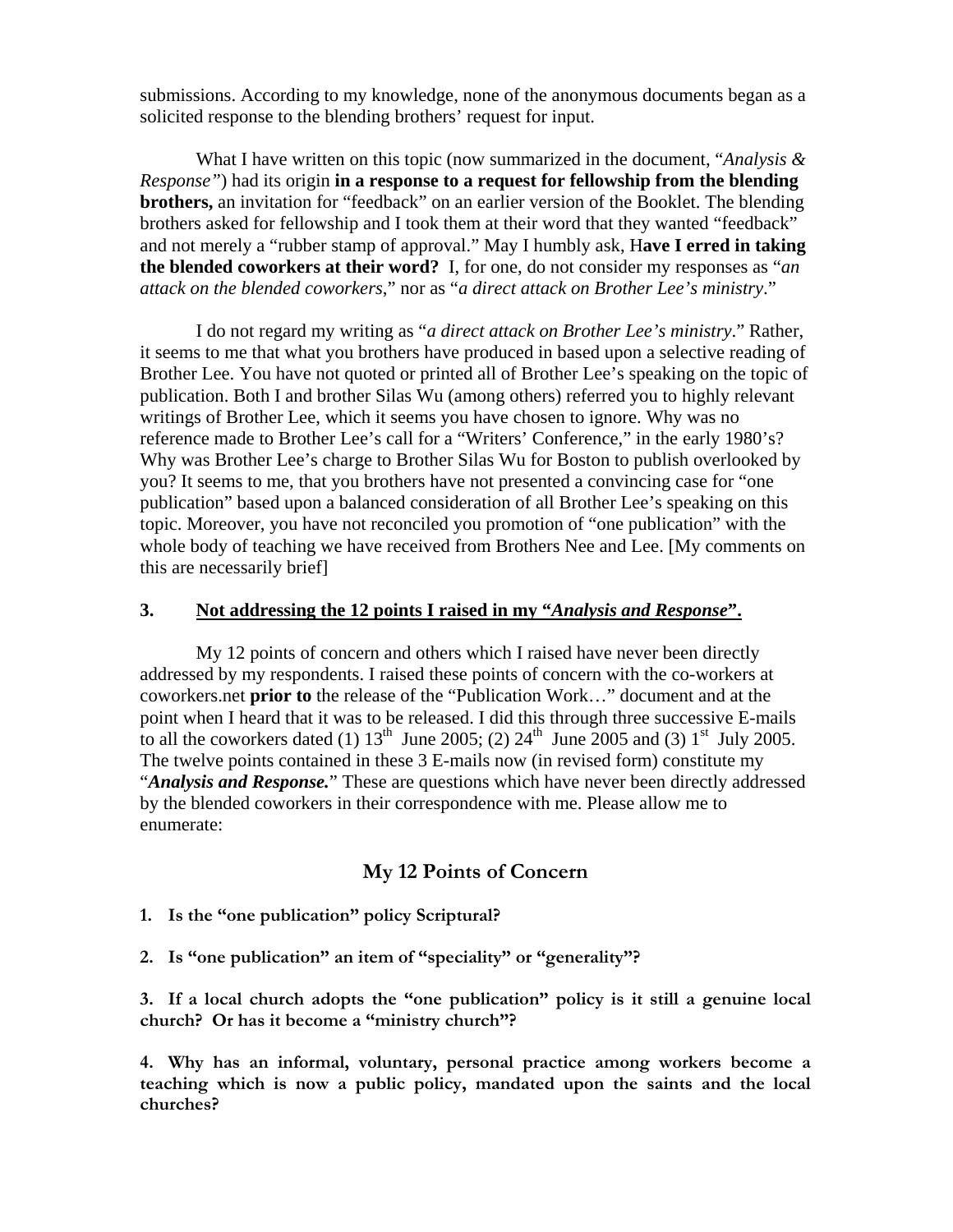submissions. According to my knowledge, none of the anonymous documents began as a solicited response to the blending brothers' request for input.

 What I have written on this topic (now summarized in the document, "*Analysis & Response"*) had its origin **in a response to a request for fellowship from the blending brothers,** an invitation for "feedback" on an earlier version of the Booklet. The blending brothers asked for fellowship and I took them at their word that they wanted "feedback" and not merely a "rubber stamp of approval." May I humbly ask, H**ave I erred in taking the blended coworkers at their word?** I, for one, do not consider my responses as "*an attack on the blended coworkers*," nor as "*a direct attack on Brother Lee's ministry*."

 I do not regard my writing as "*a direct attack on Brother Lee's ministry*." Rather, it seems to me that what you brothers have produced in based upon a selective reading of Brother Lee. You have not quoted or printed all of Brother Lee's speaking on the topic of publication. Both I and brother Silas Wu (among others) referred you to highly relevant writings of Brother Lee, which it seems you have chosen to ignore. Why was no reference made to Brother Lee's call for a "Writers' Conference," in the early 1980's? Why was Brother Lee's charge to Brother Silas Wu for Boston to publish overlooked by you? It seems to me, that you brothers have not presented a convincing case for "one publication" based upon a balanced consideration of all Brother Lee's speaking on this topic. Moreover, you have not reconciled you promotion of "one publication" with the whole body of teaching we have received from Brothers Nee and Lee. [My comments on this are necessarily brief]

## **3. Not addressing the 12 points I raised in my "***Analysis and Response***".**

 My 12 points of concern and others which I raised have never been directly addressed by my respondents. I raised these points of concern with the co-workers at coworkers.net **prior to** the release of the "Publication Work…" document and at the point when I heard that it was to be released. I did this through three successive E-mails to all the coworkers dated (1)  $13<sup>th</sup>$  June 2005; (2)  $24<sup>th</sup>$  June 2005 and (3)  $1<sup>st</sup>$  July 2005. The twelve points contained in these 3 E-mails now (in revised form) constitute my "*Analysis and Response.*" These are questions which have never been directly addressed by the blended coworkers in their correspondence with me. Please allow me to enumerate:

# **My 12 Points of Concern**

- **1. Is the "one publication" policy Scriptural?**
- **2. Is "one publication" an item of "speciality" or "generality"?**

**3. If a local church adopts the "one publication" policy is it still a genuine local church? Or has it become a "ministry church"?** 

**4. Why has an informal, voluntary, personal practice among workers become a teaching which is now a public policy, mandated upon the saints and the local churches?**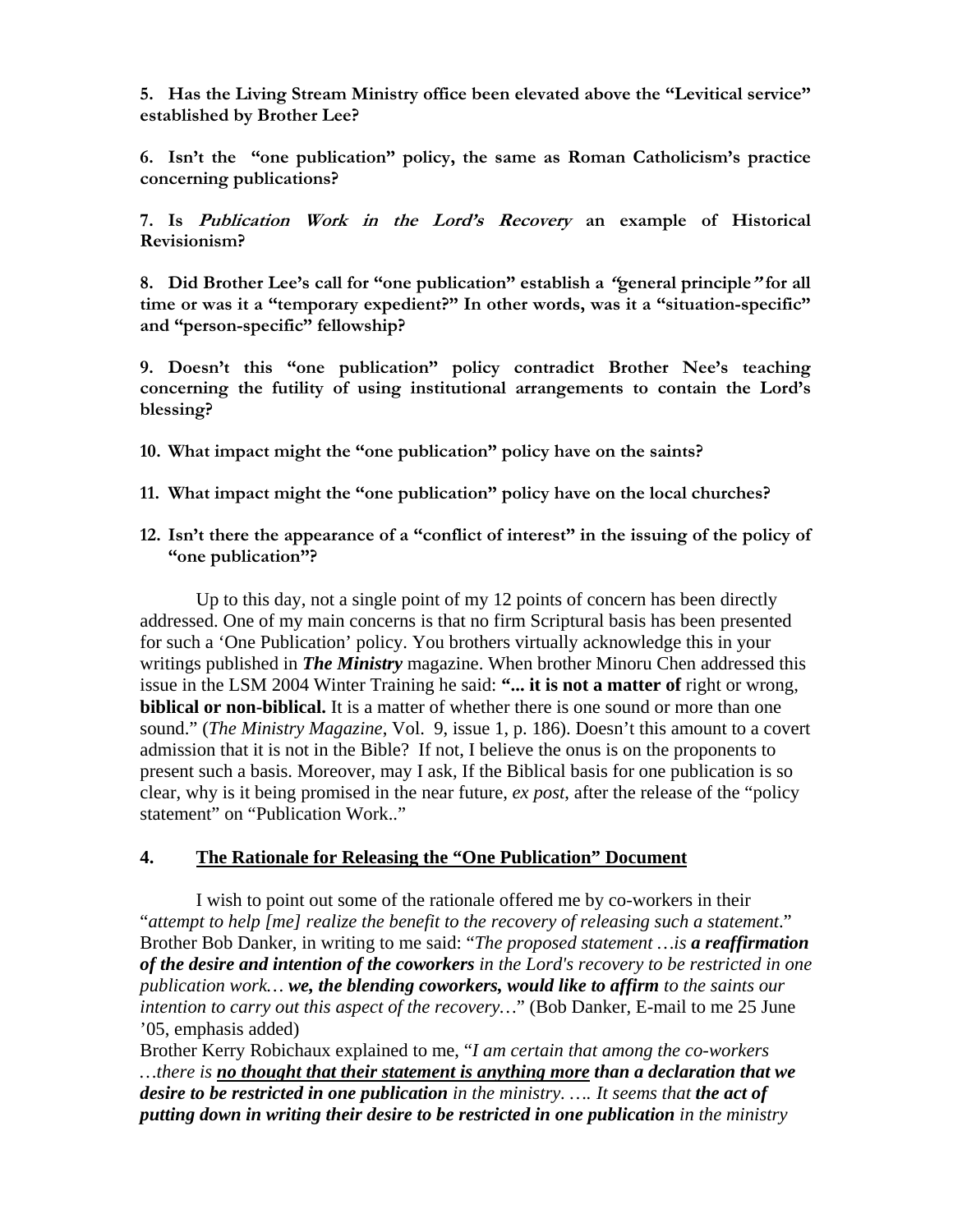**5. Has the Living Stream Ministry office been elevated above the "Levitical service" established by Brother Lee?** 

**6. Isn't the "one publication" policy, the same as Roman Catholicism's practice concerning publications?** 

**7. Is Publication Work in the Lord's Recovery an example of Historical Revisionism?**

**8. Did Brother Lee's call for "one publication" establish a "general principle" for all time or was it a "temporary expedient?" In other words, was it a "situation-specific" and "person-specific" fellowship?** 

**9. Doesn't this "one publication" policy contradict Brother Nee's teaching concerning the futility of using institutional arrangements to contain the Lord's blessing?** 

- **10. What impact might the "one publication" policy have on the saints?**
- **11. What impact might the "one publication" policy have on the local churches?**
- **12. Isn't there the appearance of a "conflict of interest" in the issuing of the policy of "one publication"?**

 Up to this day, not a single point of my 12 points of concern has been directly addressed. One of my main concerns is that no firm Scriptural basis has been presented for such a 'One Publication' policy. You brothers virtually acknowledge this in your writings published in *The Ministry* magazine. When brother Minoru Chen addressed this issue in the LSM 2004 Winter Training he said: **"... it is not a matter of** right or wrong, **biblical or non-biblical.** It is a matter of whether there is one sound or more than one sound." (*The Ministry Magazine*, Vol. 9, issue 1, p. 186). Doesn't this amount to a covert admission that it is not in the Bible? If not, I believe the onus is on the proponents to present such a basis. Moreover, may I ask, If the Biblical basis for one publication is so clear, why is it being promised in the near future, *ex post*, after the release of the "policy statement" on "Publication Work.."

#### **4. The Rationale for Releasing the "One Publication" Document**

I wish to point out some of the rationale offered me by co-workers in their "*attempt to help [me] realize the benefit to the recovery of releasing such a statement*." Brother Bob Danker, in writing to me said: "*The proposed statement …is a reaffirmation of the desire and intention of the coworkers in the Lord's recovery to be restricted in one publication work… we, the blending coworkers, would like to affirm to the saints our intention to carry out this aspect of the recovery…*" (Bob Danker, E-mail to me 25 June '05, emphasis added)

Brother Kerry Robichaux explained to me, "*I am certain that among the co-workers …there is no thought that their statement is anything more than a declaration that we desire to be restricted in one publication in the ministry. …. It seems that the act of putting down in writing their desire to be restricted in one publication in the ministry*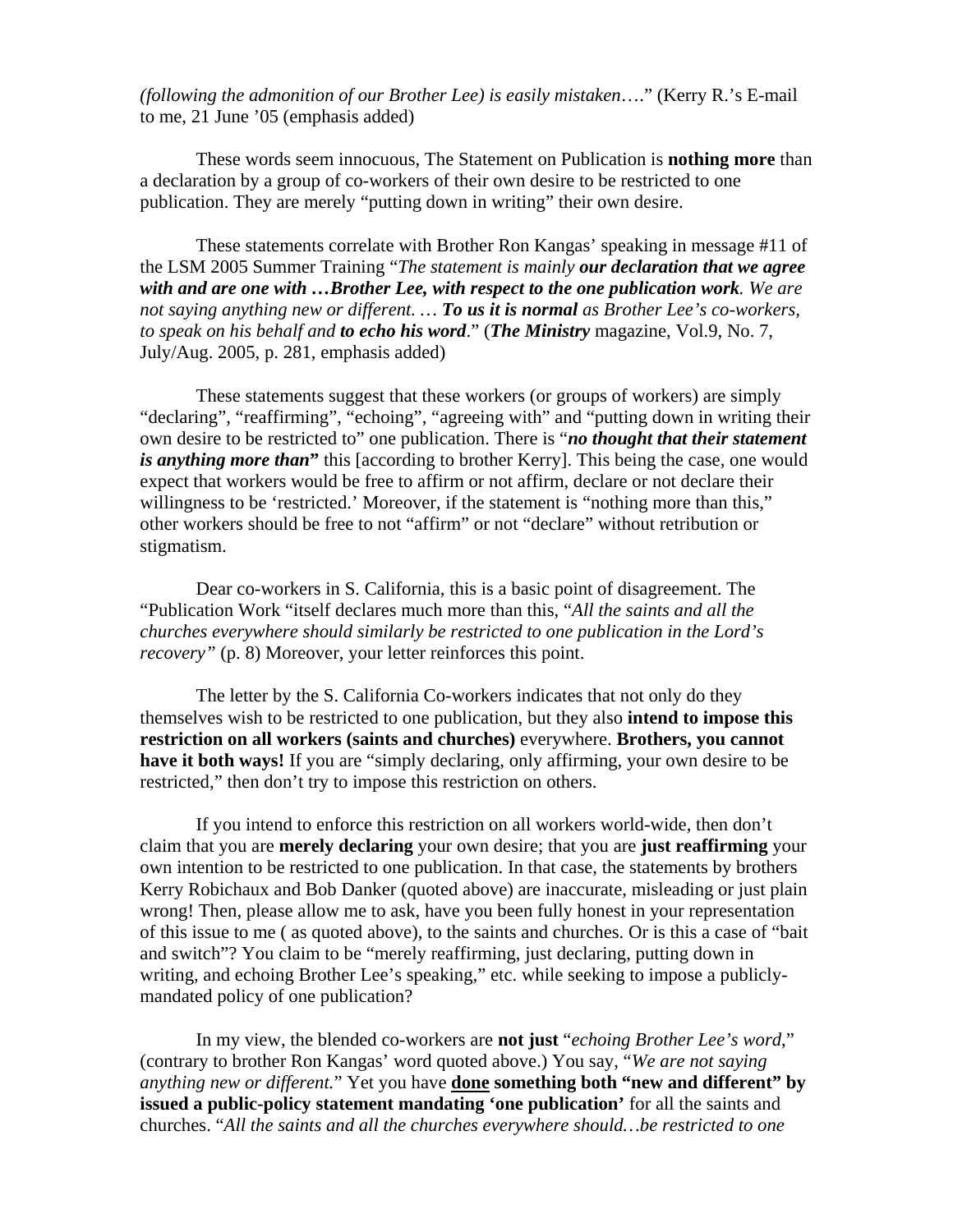*(following the admonition of our Brother Lee) is easily mistaken*…." (Kerry R.'s E-mail to me, 21 June '05 (emphasis added)

These words seem innocuous, The Statement on Publication is **nothing more** than a declaration by a group of co-workers of their own desire to be restricted to one publication. They are merely "putting down in writing" their own desire.

 These statements correlate with Brother Ron Kangas' speaking in message #11 of the LSM 2005 Summer Training "*The statement is mainly our declaration that we agree with and are one with …Brother Lee, with respect to the one publication work. We are not saying anything new or different. … To us it is normal as Brother Lee's co-workers, to speak on his behalf and to echo his word*." (*The Ministry* magazine, Vol.9, No. 7, July/Aug. 2005, p. 281, emphasis added)

 These statements suggest that these workers (or groups of workers) are simply "declaring", "reaffirming", "echoing", "agreeing with" and "putting down in writing their own desire to be restricted to" one publication. There is "*no thought that their statement is anything more than***"** this [according to brother Kerry]. This being the case, one would expect that workers would be free to affirm or not affirm, declare or not declare their willingness to be 'restricted.' Moreover, if the statement is "nothing more than this," other workers should be free to not "affirm" or not "declare" without retribution or stigmatism.

 Dear co-workers in S. California, this is a basic point of disagreement. The "Publication Work "itself declares much more than this, "*All the saints and all the churches everywhere should similarly be restricted to one publication in the Lord's recovery*" (p. 8) Moreover, your letter reinforces this point.

The letter by the S. California Co-workers indicates that not only do they themselves wish to be restricted to one publication, but they also **intend to impose this restriction on all workers (saints and churches)** everywhere. **Brothers, you cannot have it both ways!** If you are "simply declaring, only affirming, your own desire to be restricted," then don't try to impose this restriction on others.

If you intend to enforce this restriction on all workers world-wide, then don't claim that you are **merely declaring** your own desire; that you are **just reaffirming** your own intention to be restricted to one publication. In that case, the statements by brothers Kerry Robichaux and Bob Danker (quoted above) are inaccurate, misleading or just plain wrong! Then, please allow me to ask, have you been fully honest in your representation of this issue to me ( as quoted above), to the saints and churches. Or is this a case of "bait and switch"? You claim to be "merely reaffirming, just declaring, putting down in writing, and echoing Brother Lee's speaking," etc. while seeking to impose a publiclymandated policy of one publication?

In my view, the blended co-workers are **not just** "*echoing Brother Lee's word*," (contrary to brother Ron Kangas' word quoted above.) You say, "*We are not saying anything new or different.*" Yet you have **done something both "new and different" by issued a public-policy statement mandating 'one publication'** for all the saints and churches. "*All the saints and all the churches everywhere should…be restricted to one*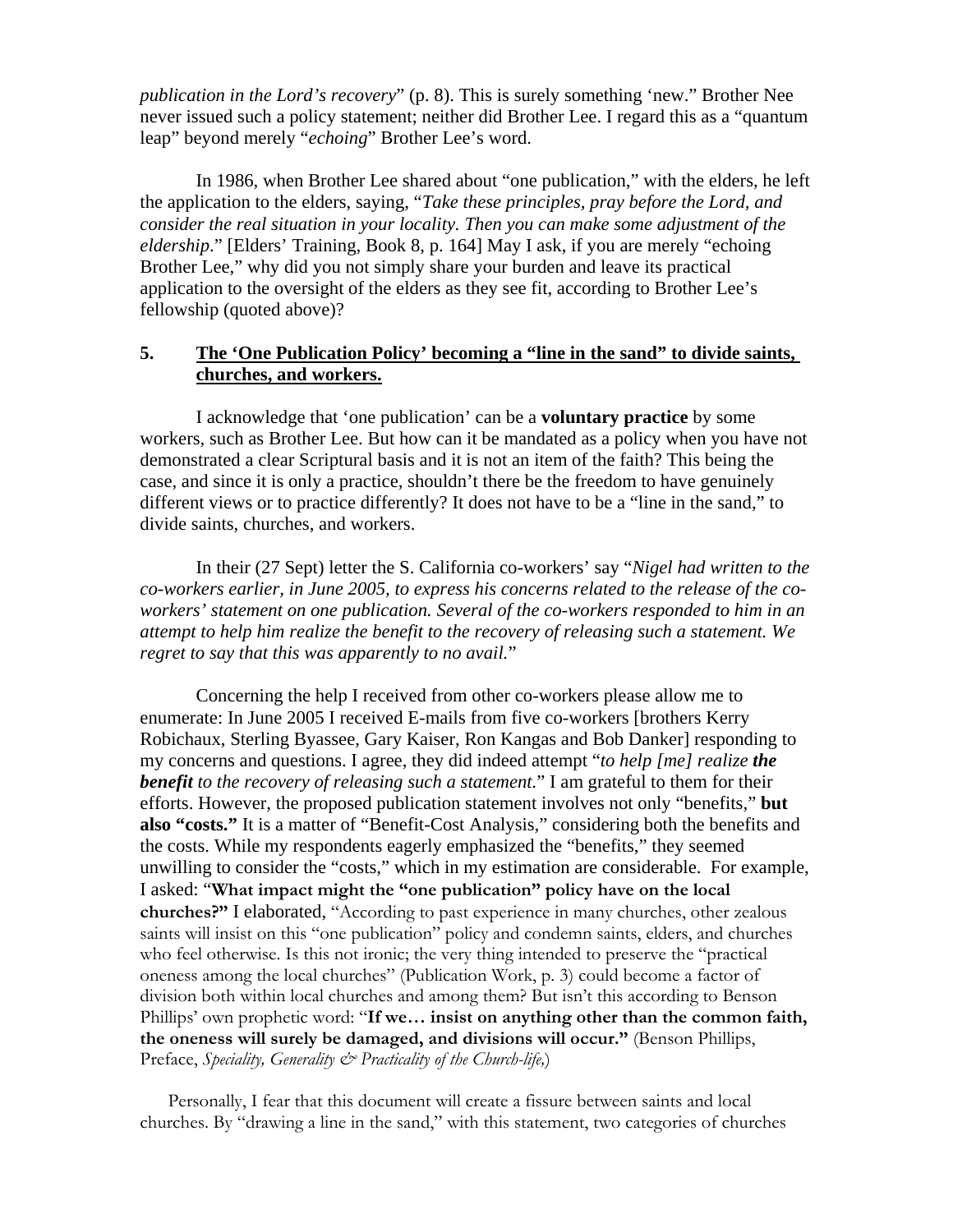*publication in the Lord's recovery*" (p. 8). This is surely something 'new." Brother Nee never issued such a policy statement; neither did Brother Lee. I regard this as a "quantum leap" beyond merely "*echoing*" Brother Lee's word.

 In 1986, when Brother Lee shared about "one publication," with the elders, he left the application to the elders, saying, "*Take these principles, pray before the Lord, and consider the real situation in your locality. Then you can make some adjustment of the eldership*." [Elders' Training, Book 8, p. 164] May I ask, if you are merely "echoing Brother Lee," why did you not simply share your burden and leave its practical application to the oversight of the elders as they see fit, according to Brother Lee's fellowship (quoted above)?

### **5. The 'One Publication Policy' becoming a "line in the sand" to divide saints, churches, and workers.**

I acknowledge that 'one publication' can be a **voluntary practice** by some workers, such as Brother Lee. But how can it be mandated as a policy when you have not demonstrated a clear Scriptural basis and it is not an item of the faith? This being the case, and since it is only a practice, shouldn't there be the freedom to have genuinely different views or to practice differently? It does not have to be a "line in the sand," to divide saints, churches, and workers.

In their (27 Sept) letter the S. California co-workers' say "*Nigel had written to the co-workers earlier, in June 2005, to express his concerns related to the release of the coworkers' statement on one publication. Several of the co-workers responded to him in an attempt to help him realize the benefit to the recovery of releasing such a statement. We regret to say that this was apparently to no avail.*"

 Concerning the help I received from other co-workers please allow me to enumerate: In June 2005 I received E-mails from five co-workers [brothers Kerry Robichaux, Sterling Byassee, Gary Kaiser, Ron Kangas and Bob Danker] responding to my concerns and questions. I agree, they did indeed attempt "*to help [me] realize the benefit to the recovery of releasing such a statement.*" I am grateful to them for their efforts. However, the proposed publication statement involves not only "benefits," **but also "costs."** It is a matter of "Benefit-Cost Analysis," considering both the benefits and the costs. While my respondents eagerly emphasized the "benefits," they seemed unwilling to consider the "costs," which in my estimation are considerable. For example, I asked: "**What impact might the "one publication" policy have on the local churches?"** I elaborated, "According to past experience in many churches, other zealous saints will insist on this "one publication" policy and condemn saints, elders, and churches who feel otherwise. Is this not ironic; the very thing intended to preserve the "practical oneness among the local churches" (Publication Work, p. 3) could become a factor of division both within local churches and among them? But isn't this according to Benson Phillips' own prophetic word: "**If we… insist on anything other than the common faith, the oneness will surely be damaged, and divisions will occur."** (Benson Phillips, Preface, *Speciality, Generality & Practicality of the Church-life,*)

 Personally, I fear that this document will create a fissure between saints and local churches. By "drawing a line in the sand," with this statement, two categories of churches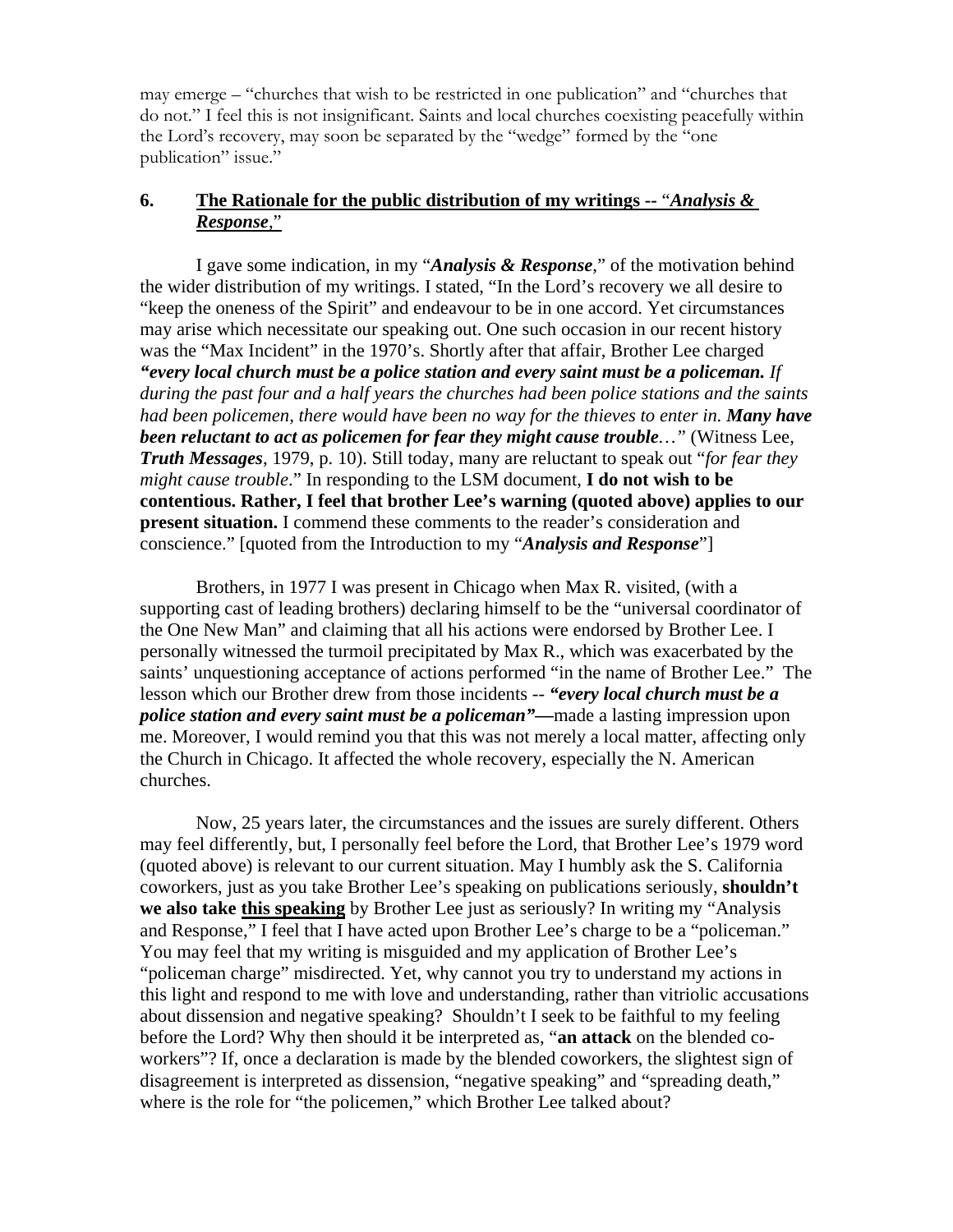may emerge – "churches that wish to be restricted in one publication" and "churches that do not." I feel this is not insignificant. Saints and local churches coexisting peacefully within the Lord's recovery, may soon be separated by the "wedge" formed by the "one publication" issue."

# **6. The Rationale for the public distribution of my writings --** "*Analysis & Response*,"

 I gave some indication, in my "*Analysis & Response*," of the motivation behind the wider distribution of my writings. I stated, "In the Lord's recovery we all desire to "keep the oneness of the Spirit" and endeavour to be in one accord. Yet circumstances may arise which necessitate our speaking out. One such occasion in our recent history was the "Max Incident" in the 1970's. Shortly after that affair, Brother Lee charged *"every local church must be a police station and every saint must be a policeman. If during the past four and a half years the churches had been police stations and the saints had been policemen, there would have been no way for the thieves to enter in. Many have been reluctant to act as policemen for fear they might cause trouble…"* (Witness Lee, *Truth Messages*, 1979, p. 10). Still today, many are reluctant to speak out "*for fear they might cause trouble*." In responding to the LSM document, **I do not wish to be contentious. Rather, I feel that brother Lee's warning (quoted above) applies to our present situation.** I commend these comments to the reader's consideration and conscience." [quoted from the Introduction to my "*Analysis and Response*"]

 Brothers, in 1977 I was present in Chicago when Max R. visited, (with a supporting cast of leading brothers) declaring himself to be the "universal coordinator of the One New Man" and claiming that all his actions were endorsed by Brother Lee. I personally witnessed the turmoil precipitated by Max R., which was exacerbated by the saints' unquestioning acceptance of actions performed "in the name of Brother Lee." The lesson which our Brother drew from those incidents -- *"every local church must be a police station and every saint must be a policeman"—*made a lasting impression upon me. Moreover, I would remind you that this was not merely a local matter, affecting only the Church in Chicago. It affected the whole recovery, especially the N. American churches.

 Now, 25 years later, the circumstances and the issues are surely different. Others may feel differently, but, I personally feel before the Lord, that Brother Lee's 1979 word (quoted above) is relevant to our current situation. May I humbly ask the S. California coworkers, just as you take Brother Lee's speaking on publications seriously, **shouldn't we also take this speaking** by Brother Lee just as seriously? In writing my "Analysis and Response," I feel that I have acted upon Brother Lee's charge to be a "policeman." You may feel that my writing is misguided and my application of Brother Lee's "policeman charge" misdirected. Yet, why cannot you try to understand my actions in this light and respond to me with love and understanding, rather than vitriolic accusations about dissension and negative speaking? Shouldn't I seek to be faithful to my feeling before the Lord? Why then should it be interpreted as, "**an attack** on the blended coworkers"? If, once a declaration is made by the blended coworkers, the slightest sign of disagreement is interpreted as dissension, "negative speaking" and "spreading death," where is the role for "the policemen," which Brother Lee talked about?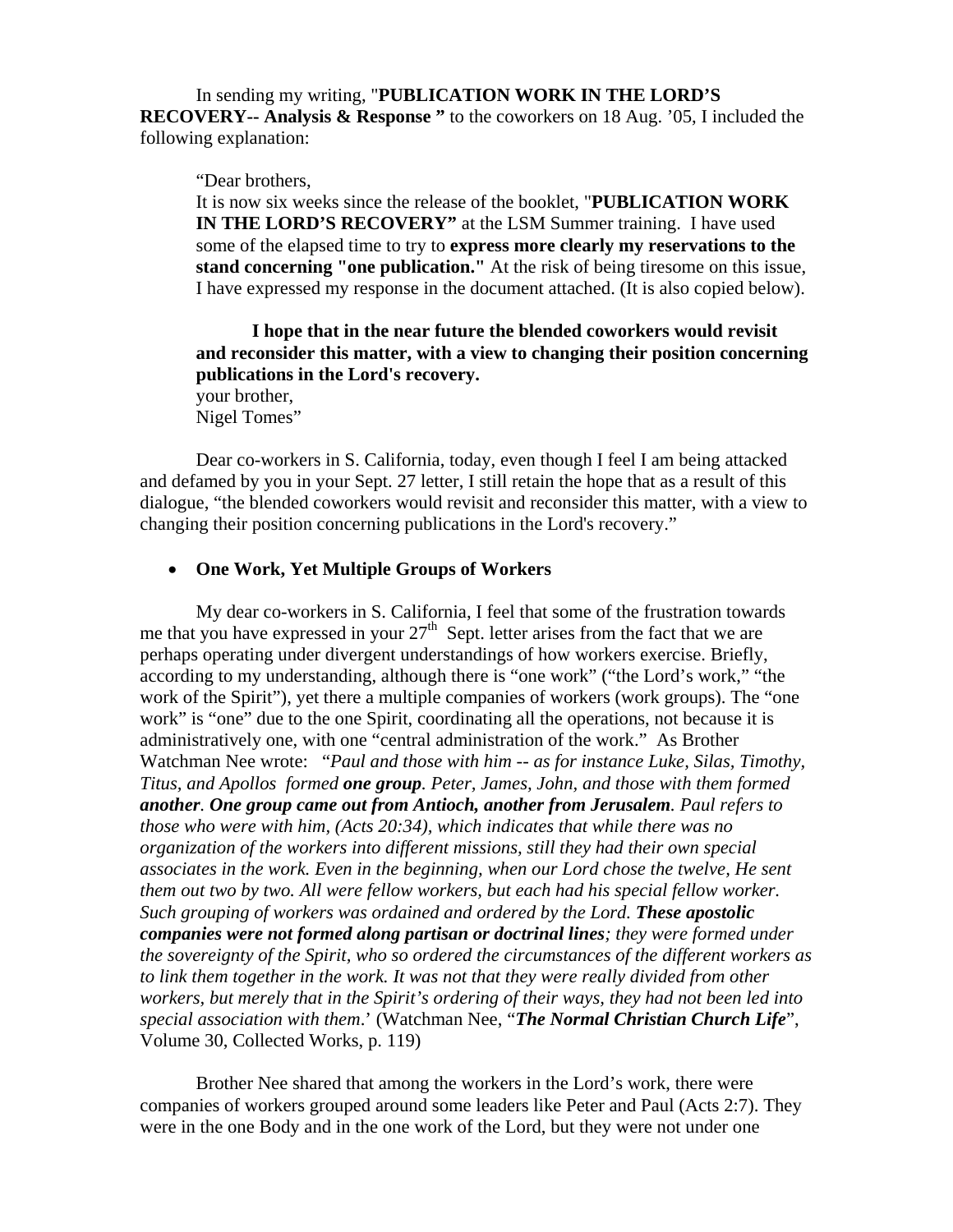In sending my writing, "**PUBLICATION WORK IN THE LORD'S RECOVERY-- Analysis & Response "** to the coworkers on 18 Aug. '05, I included the following explanation:

"Dear brothers,

It is now six weeks since the release of the booklet, "**PUBLICATION WORK IN THE LORD'S RECOVERY"** at the LSM Summer training. I have used some of the elapsed time to try to **express more clearly my reservations to the stand concerning "one publication."** At the risk of being tiresome on this issue, I have expressed my response in the document attached. (It is also copied below).

**I hope that in the near future the blended coworkers would revisit and reconsider this matter, with a view to changing their position concerning publications in the Lord's recovery.**  your brother,

Nigel Tomes"

Dear co-workers in S. California, today, even though I feel I am being attacked and defamed by you in your Sept. 27 letter, I still retain the hope that as a result of this dialogue, "the blended coworkers would revisit and reconsider this matter, with a view to changing their position concerning publications in the Lord's recovery."

#### • **One Work, Yet Multiple Groups of Workers**

My dear co-workers in S. California, I feel that some of the frustration towards me that you have expressed in your  $27<sup>th</sup>$  Sept. letter arises from the fact that we are perhaps operating under divergent understandings of how workers exercise. Briefly, according to my understanding, although there is "one work" ("the Lord's work," "the work of the Spirit"), yet there a multiple companies of workers (work groups). The "one work" is "one" due to the one Spirit, coordinating all the operations, not because it is administratively one, with one "central administration of the work." As Brother Watchman Nee wrote: "*Paul and those with him -- as for instance Luke, Silas, Timothy, Titus, and Apollos formed one group. Peter, James, John, and those with them formed another. One group came out from Antioch, another from Jerusalem. Paul refers to those who were with him, (Acts 20:34), which indicates that while there was no organization of the workers into different missions, still they had their own special associates in the work. Even in the beginning, when our Lord chose the twelve, He sent them out two by two. All were fellow workers, but each had his special fellow worker. Such grouping of workers was ordained and ordered by the Lord. These apostolic companies were not formed along partisan or doctrinal lines; they were formed under the sovereignty of the Spirit, who so ordered the circumstances of the different workers as to link them together in the work. It was not that they were really divided from other workers, but merely that in the Spirit's ordering of their ways, they had not been led into special association with them*.' (Watchman Nee, "*The Normal Christian Church Life*", Volume 30, Collected Works, p. 119)

Brother Nee shared that among the workers in the Lord's work, there were companies of workers grouped around some leaders like Peter and Paul (Acts 2:7). They were in the one Body and in the one work of the Lord, but they were not under one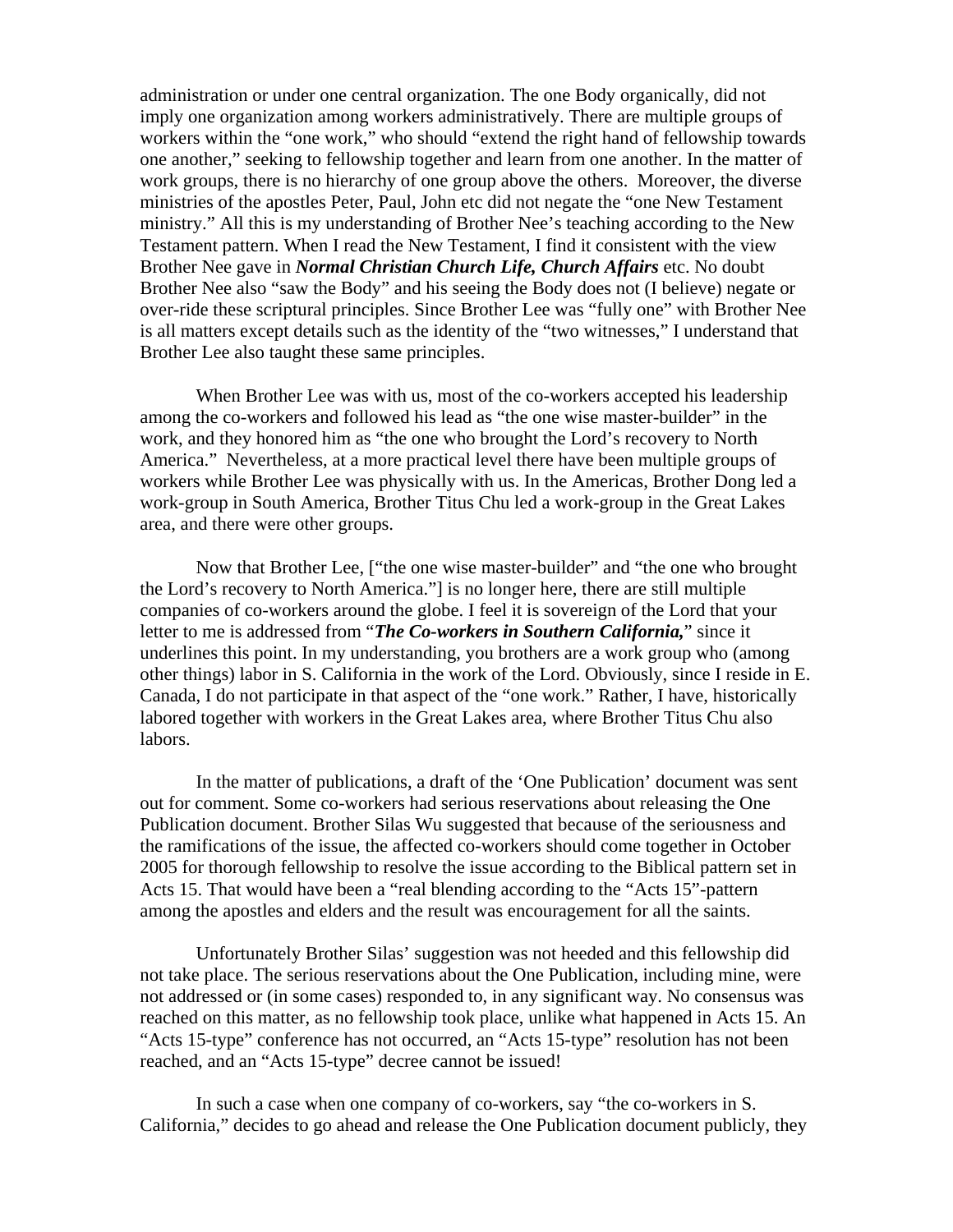administration or under one central organization. The one Body organically, did not imply one organization among workers administratively. There are multiple groups of workers within the "one work," who should "extend the right hand of fellowship towards one another," seeking to fellowship together and learn from one another. In the matter of work groups, there is no hierarchy of one group above the others. Moreover, the diverse ministries of the apostles Peter, Paul, John etc did not negate the "one New Testament ministry." All this is my understanding of Brother Nee's teaching according to the New Testament pattern. When I read the New Testament, I find it consistent with the view Brother Nee gave in *Normal Christian Church Life, Church Affairs* etc. No doubt Brother Nee also "saw the Body" and his seeing the Body does not (I believe) negate or over-ride these scriptural principles. Since Brother Lee was "fully one" with Brother Nee is all matters except details such as the identity of the "two witnesses," I understand that Brother Lee also taught these same principles.

When Brother Lee was with us, most of the co-workers accepted his leadership among the co-workers and followed his lead as "the one wise master-builder" in the work, and they honored him as "the one who brought the Lord's recovery to North America." Nevertheless, at a more practical level there have been multiple groups of workers while Brother Lee was physically with us. In the Americas, Brother Dong led a work-group in South America, Brother Titus Chu led a work-group in the Great Lakes area, and there were other groups.

Now that Brother Lee, ["the one wise master-builder" and "the one who brought the Lord's recovery to North America."] is no longer here, there are still multiple companies of co-workers around the globe. I feel it is sovereign of the Lord that your letter to me is addressed from "*The Co-workers in Southern California,*" since it underlines this point. In my understanding, you brothers are a work group who (among other things) labor in S. California in the work of the Lord. Obviously, since I reside in E. Canada, I do not participate in that aspect of the "one work." Rather, I have, historically labored together with workers in the Great Lakes area, where Brother Titus Chu also labors.

In the matter of publications, a draft of the 'One Publication' document was sent out for comment. Some co-workers had serious reservations about releasing the One Publication document. Brother Silas Wu suggested that because of the seriousness and the ramifications of the issue, the affected co-workers should come together in October 2005 for thorough fellowship to resolve the issue according to the Biblical pattern set in Acts 15. That would have been a "real blending according to the "Acts 15"-pattern among the apostles and elders and the result was encouragement for all the saints.

Unfortunately Brother Silas' suggestion was not heeded and this fellowship did not take place. The serious reservations about the One Publication, including mine, were not addressed or (in some cases) responded to, in any significant way. No consensus was reached on this matter, as no fellowship took place, unlike what happened in Acts 15. An "Acts 15-type" conference has not occurred, an "Acts 15-type" resolution has not been reached, and an "Acts 15-type" decree cannot be issued!

In such a case when one company of co-workers, say "the co-workers in S. California," decides to go ahead and release the One Publication document publicly, they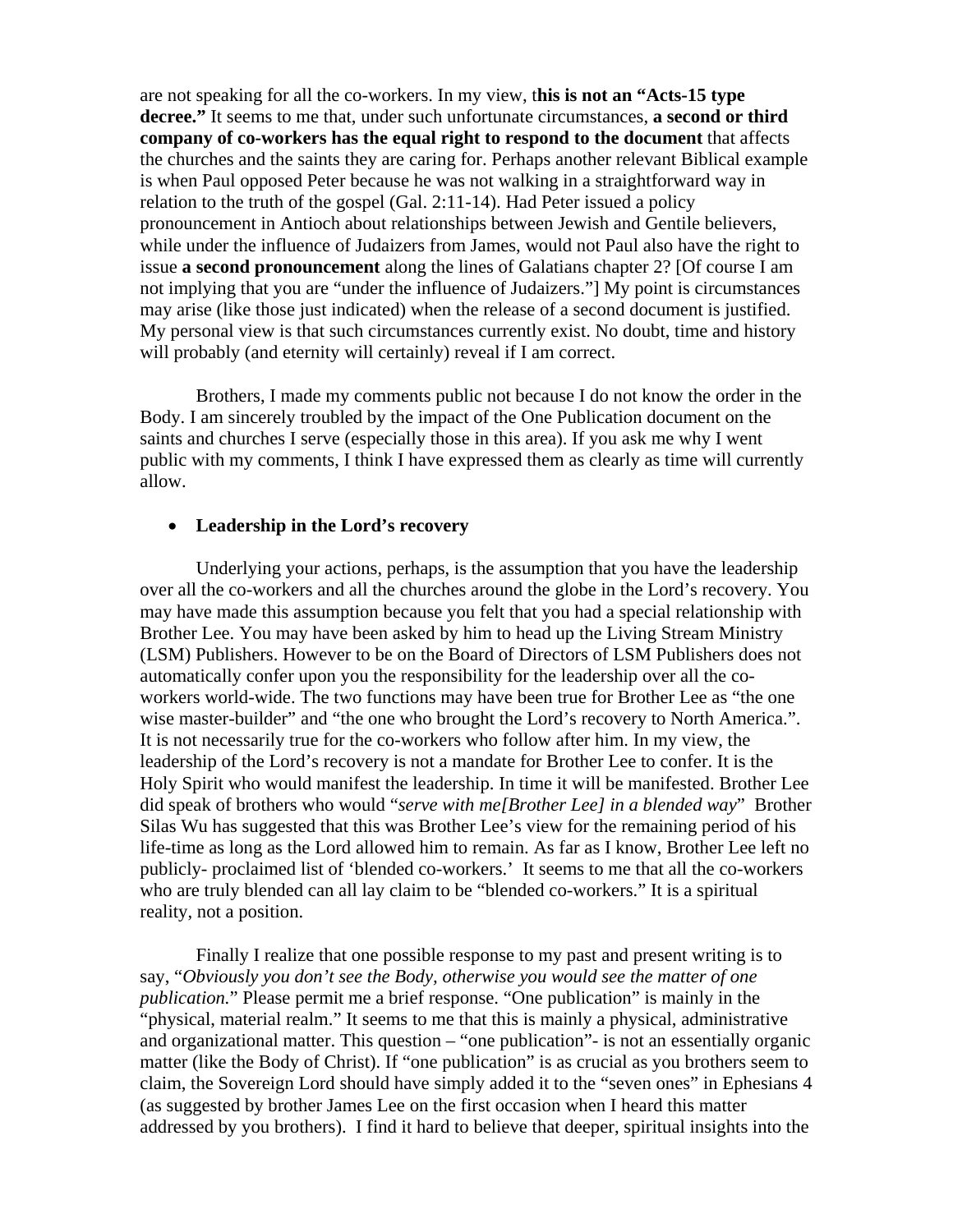are not speaking for all the co-workers. In my view, t**his is not an "Acts-15 type decree."** It seems to me that, under such unfortunate circumstances, **a second or third company of co-workers has the equal right to respond to the document** that affects the churches and the saints they are caring for. Perhaps another relevant Biblical example is when Paul opposed Peter because he was not walking in a straightforward way in relation to the truth of the gospel (Gal. 2:11-14). Had Peter issued a policy pronouncement in Antioch about relationships between Jewish and Gentile believers, while under the influence of Judaizers from James, would not Paul also have the right to issue **a second pronouncement** along the lines of Galatians chapter 2? [Of course I am not implying that you are "under the influence of Judaizers."] My point is circumstances may arise (like those just indicated) when the release of a second document is justified. My personal view is that such circumstances currently exist. No doubt, time and history will probably (and eternity will certainly) reveal if I am correct.

Brothers, I made my comments public not because I do not know the order in the Body. I am sincerely troubled by the impact of the One Publication document on the saints and churches I serve (especially those in this area). If you ask me why I went public with my comments, I think I have expressed them as clearly as time will currently allow.

#### • **Leadership in the Lord's recovery**

Underlying your actions, perhaps, is the assumption that you have the leadership over all the co-workers and all the churches around the globe in the Lord's recovery. You may have made this assumption because you felt that you had a special relationship with Brother Lee. You may have been asked by him to head up the Living Stream Ministry (LSM) Publishers. However to be on the Board of Directors of LSM Publishers does not automatically confer upon you the responsibility for the leadership over all the coworkers world-wide. The two functions may have been true for Brother Lee as "the one wise master-builder" and "the one who brought the Lord's recovery to North America.". It is not necessarily true for the co-workers who follow after him. In my view, the leadership of the Lord's recovery is not a mandate for Brother Lee to confer. It is the Holy Spirit who would manifest the leadership. In time it will be manifested. Brother Lee did speak of brothers who would "*serve with me[Brother Lee] in a blended way*" Brother Silas Wu has suggested that this was Brother Lee's view for the remaining period of his life-time as long as the Lord allowed him to remain. As far as I know, Brother Lee left no publicly- proclaimed list of 'blended co-workers.' It seems to me that all the co-workers who are truly blended can all lay claim to be "blended co-workers." It is a spiritual reality, not a position.

Finally I realize that one possible response to my past and present writing is to say, "*Obviously you don't see the Body, otherwise you would see the matter of one publication.*" Please permit me a brief response. "One publication" is mainly in the "physical, material realm." It seems to me that this is mainly a physical, administrative and organizational matter. This question – "one publication"- is not an essentially organic matter (like the Body of Christ). If "one publication" is as crucial as you brothers seem to claim, the Sovereign Lord should have simply added it to the "seven ones" in Ephesians 4 (as suggested by brother James Lee on the first occasion when I heard this matter addressed by you brothers). I find it hard to believe that deeper, spiritual insights into the